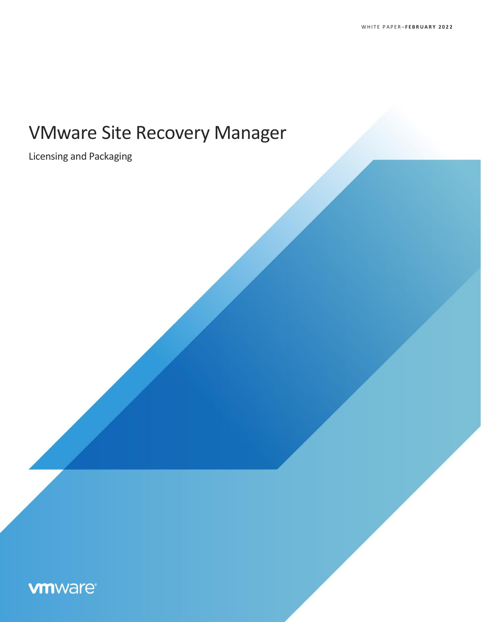# VMware Site Recovery Manager

Licensing and Packaging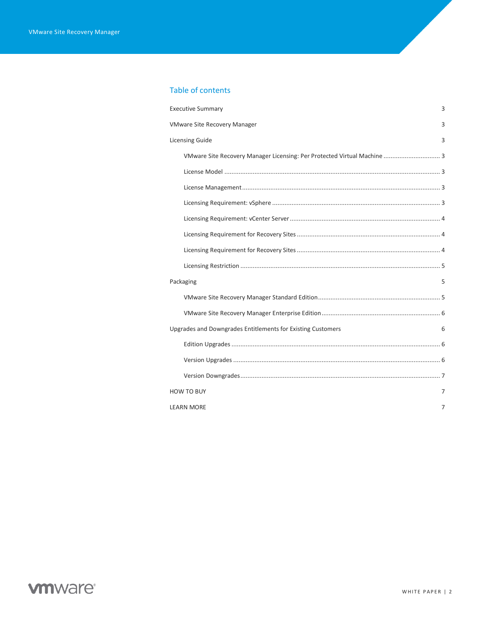#### Table of contents

| <b>Executive Summary</b>                                                 | 3 |
|--------------------------------------------------------------------------|---|
| <b>VMware Site Recovery Manager</b>                                      | 3 |
| <b>Licensing Guide</b>                                                   | 3 |
| VMware Site Recovery Manager Licensing: Per Protected Virtual Machine  3 |   |
|                                                                          |   |
|                                                                          |   |
|                                                                          |   |
|                                                                          |   |
|                                                                          |   |
|                                                                          |   |
|                                                                          |   |
|                                                                          |   |
| Packaging                                                                | 5 |
|                                                                          |   |
|                                                                          |   |
| Upgrades and Downgrades Entitlements for Existing Customers              | 6 |
|                                                                          |   |
|                                                                          |   |
|                                                                          |   |
| <b>HOW TO BUY</b>                                                        | 7 |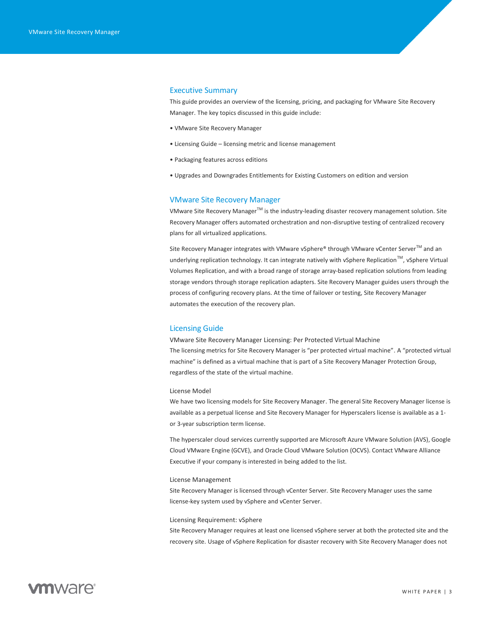#### <span id="page-2-0"></span>Executive Summary

This guide provides an overview of the licensing, pricing, and packaging for VMware Site Recovery Manager. The key topics discussed in this guide include:

- VMware Site Recovery Manager
- Licensing Guide licensing metric and license management
- Packaging features across editions
- Upgrades and Downgrades Entitlements for Existing Customers on edition and version

#### <span id="page-2-1"></span>VMware Site Recovery Manager

VMware Site Recovery Manager $^{TM}$  is the industry-leading disaster recovery management solution. Site Recovery Manager offers automated orchestration and non-disruptive testing of centralized recovery plans for all virtualized applications.

Site Recovery Manager integrates with VMware vSphere® through VMware vCenter Server™ and an underlying replication technology. It can integrate natively with vSphere Replication™, vSphere Virtual Volumes Replication, and with a broad range of storage array-based replication solutions from leading storage vendors through storage replication adapters. Site Recovery Manager guides users through the process of configuring recovery plans. At the time of failover or testing, Site Recovery Manager automates the execution of the recovery plan.

#### <span id="page-2-2"></span>Licensing Guide

<span id="page-2-3"></span>VMware Site Recovery Manager Licensing: Per Protected Virtual Machine The licensing metrics for Site Recovery Manager is "per protected virtual machine". A "protected virtual machine" is defined as a virtual machine that is part of a Site Recovery Manager Protection Group, regardless of the state of the virtual machine.

#### <span id="page-2-4"></span>License Model

We have two licensing models for Site Recovery Manager. The general Site Recovery Manager license is available as a perpetual license and Site Recovery Manager for Hyperscalers license is available as a 1 or 3-year subscription term license.

The hyperscaler cloud services currently supported are Microsoft Azure VMware Solution (AVS), Google Cloud VMware Engine (GCVE), and Oracle Cloud VMware Solution (OCVS). Contact VMware Alliance Executive if your company is interested in being added to the list.

#### <span id="page-2-5"></span>License Management

Site Recovery Manager is licensed through vCenter Server. Site Recovery Manager uses the same license-key system used by vSphere and vCenter Server.

#### <span id="page-2-6"></span>Licensing Requirement: vSphere

Site Recovery Manager requires at least one licensed vSphere server at both the protected site and the recovery site. Usage of vSphere Replication for disaster recovery with Site Recovery Manager does not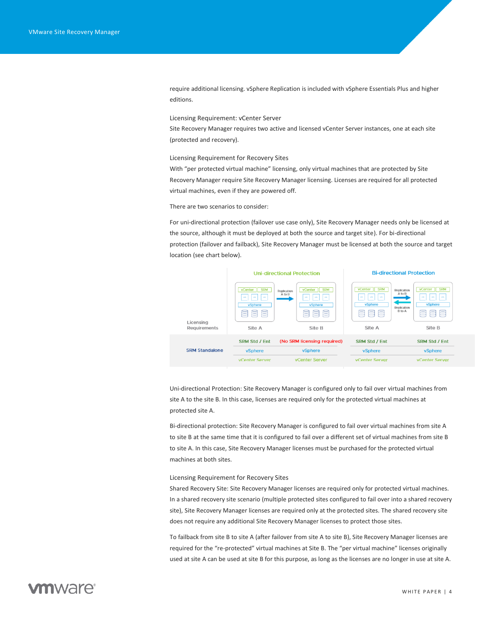require additional licensing. vSphere Replication is included with vSphere Essentials Plus and higher editions.

<span id="page-3-0"></span>Licensing Requirement: vCenter Server

Site Recovery Manager requires two active and licensed vCenter Server instances, one at each site (protected and recovery).

<span id="page-3-1"></span>Licensing Requirement for Recovery Sites

With "per protected virtual machine" licensing, only virtual machines that are protected by Site Recovery Manager require Site Recovery Manager licensing. Licenses are required for all protected virtual machines, even if they are powered off.

There are two scenarios to consider:

For uni-directional protection (failover use case only), Site Recovery Manager needs only be licensed at the source, although it must be deployed at both the source and target site). For bi-directional protection (failover and failback), Site Recovery Manager must be licensed at both the source and target location (see chart below).



Uni-directional Protection: Site Recovery Manager is configured only to fail over virtual machines from site A to the site B. In this case, licenses are required only for the protected virtual machines at protected site A.

Bi-directional protection: Site Recovery Manager is configured to fail over virtual machines from site A to site B at the same time that it is configured to fail over a different set of virtual machines from site B to site A. In this case, Site Recovery Manager licenses must be purchased for the protected virtual machines at both sites.

<span id="page-3-2"></span>Licensing Requirement for Recovery Sites

Shared Recovery Site: Site Recovery Manager licenses are required only for protected virtual machines. In a shared recovery site scenario (multiple protected sites configured to fail over into a shared recovery site), Site Recovery Manager licenses are required only at the protected sites. The shared recovery site does not require any additional Site Recovery Manager licenses to protect those sites.

To failback from site B to site A (after failover from site A to site B), Site Recovery Manager licenses are required for the "re-protected" virtual machines at Site B. The "per virtual machine" licenses originally used at site A can be used at site B for this purpose, as long as the licenses are no longer in use at site A.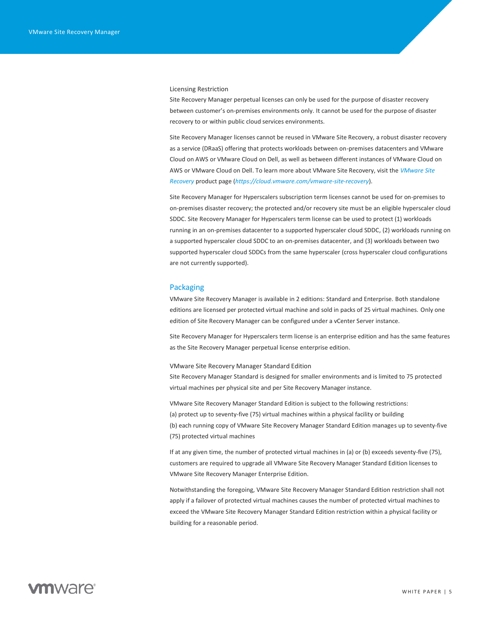<span id="page-4-0"></span>Licensing Restriction

Site Recovery Manager perpetual licenses can only be used for the purpose of disaster recovery between customer's on-premises environments only. It cannot be used for the purpose of disaster recovery to or within public cloud services environments.

Site Recovery Manager licenses cannot be reused in VMware Site Recovery, a robust disaster recovery as a service (DRaaS) offering that protects workloads between on-premises datacenters and VMware Cloud on AWS or VMware Cloud on Dell, as well as between different instances of VMware Cloud on AWS or VMware Cloud on Dell. To learn more about VMware Site Recovery, visit the *VMware Site Recovery* product page (*<https://cloud.vmware.com/vmware-site-recovery>*).

Site Recovery Manager for Hyperscalers subscription term licenses cannot be used for on-premises to on-premises disaster recovery; the protected and/or recovery site must be an eligible hyperscaler cloud SDDC. Site Recovery Manager for Hyperscalers term license can be used to protect (1) workloads running in an on-premises datacenter to a supported hyperscaler cloud SDDC, (2) workloads running on a supported hyperscaler cloud SDDC to an on-premises datacenter, and (3) workloads between two supported hyperscaler cloud SDDCs from the same hyperscaler (cross hyperscaler cloud configurations are not currently supported).

#### <span id="page-4-1"></span>Packaging

VMware Site Recovery Manager is available in 2 editions: Standard and Enterprise. Both standalone editions are licensed per protected virtual machine and sold in packs of 25 virtual machines. Only one edition of Site Recovery Manager can be configured under a vCenter Server instance.

Site Recovery Manager for Hyperscalers term license is an enterprise edition and has the same features as the Site Recovery Manager perpetual license enterprise edition.

<span id="page-4-2"></span>VMware Site Recovery Manager Standard Edition Site Recovery Manager Standard is designed for smaller environments and is limited to 75 protected virtual machines per physical site and per Site Recovery Manager instance.

VMware Site Recovery Manager Standard Edition is subject to the following restrictions: (a) protect up to seventy-five (75) virtual machines within a physical facility or building (b) each running copy of VMware Site Recovery Manager Standard Edition manages up to seventy-five (75) protected virtual machines

If at any given time, the number of protected virtual machines in (a) or (b) exceeds seventy-five (75), customers are required to upgrade all VMware Site Recovery Manager Standard Edition licenses to VMware Site Recovery Manager Enterprise Edition.

Notwithstanding the foregoing, VMware Site Recovery Manager Standard Edition restriction shall not apply if a failover of protected virtual machines causes the number of protected virtual machines to exceed the VMware Site Recovery Manager Standard Edition restriction within a physical facility or building for a reasonable period.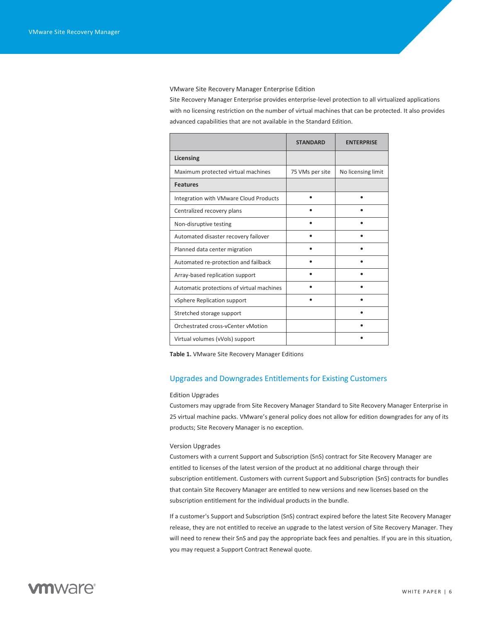<span id="page-5-0"></span>VMware Site Recovery Manager Enterprise Edition

Site Recovery Manager Enterprise provides enterprise-level protection to all virtualized applications with no licensing restriction on the number of virtual machines that can be protected. It also provides advanced capabilities that are not available in the Standard Edition.

|                                           | <b>STANDARD</b> | <b>FNTFRPRISE</b>  |
|-------------------------------------------|-----------------|--------------------|
| Licensing                                 |                 |                    |
| Maximum protected virtual machines        | 75 VMs per site | No licensing limit |
| <b>Features</b>                           |                 |                    |
| Integration with VMware Cloud Products    |                 |                    |
| Centralized recovery plans                |                 |                    |
| Non-disruptive testing                    |                 |                    |
| Automated disaster recovery failover      |                 |                    |
| Planned data center migration             |                 |                    |
| Automated re-protection and failback      |                 |                    |
| Array-based replication support           |                 |                    |
| Automatic protections of virtual machines |                 |                    |
| vSphere Replication support               |                 |                    |
| Stretched storage support                 |                 |                    |
| Orchestrated cross-vCenter vMotion        |                 |                    |
| Virtual volumes (vVols) support           |                 |                    |

**Table 1.** VMware Site Recovery Manager Editions

#### <span id="page-5-1"></span>Upgrades and Downgrades Entitlements for Existing Customers

#### <span id="page-5-2"></span>Edition Upgrades

Customers may upgrade from Site Recovery Manager Standard to Site Recovery Manager Enterprise in 25 virtual machine packs. VMware's general policy does not allow for edition downgrades for any of its products; Site Recovery Manager is no exception.

#### <span id="page-5-3"></span>Version Upgrades

Customers with a current Support and Subscription (SnS) contract for Site Recovery Manager are entitled to licenses of the latest version of the product at no additional charge through their subscription entitlement. Customers with current Support and Subscription (SnS) contracts for bundles that contain Site Recovery Manager are entitled to new versions and new licenses based on the subscription entitlement for the individual products in the bundle.

If a customer's Support and Subscription (SnS) contract expired before the latest Site Recovery Manager release, they are not entitled to receive an upgrade to the latest version of Site Recovery Manager. They will need to renew their SnS and pay the appropriate back fees and penalties. If you are in this situation, you may request a Support Contract Renewal quote.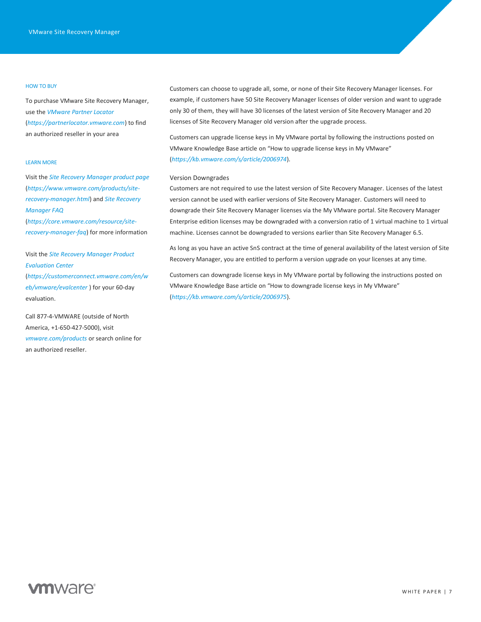#### HOW TO BUY

To purchase VMware Site Recovery Manager, use the *VMware Partner Locator*  (*[https://partnerlocator.vmware.com](https://partnerlocator.vmware.com/)*) to find an authorized reseller in your area

#### LEARN MORE

Visit the *Site Recovery Manager product page* (*[https://www.vmware.com/products/site](https://www.vmware.com/products/site-recovery-manager.html)[recovery-manager.html](https://www.vmware.com/products/site-recovery-manager.html)*) and *Site Recovery Manager FAQ* 

(*[https://core.vmware.com/resource/site](https://core.vmware.com/resource/site-recovery-manager-faq)[recovery-manager-faq](https://core.vmware.com/resource/site-recovery-manager-faq)*) for more information

Visit the *[Site Recovery Manager Product](https://customerconnect.vmware.com/en/web/vmware/evalcenter)  [Evaluation Center](https://customerconnect.vmware.com/en/web/vmware/evalcenter)*

(*[https://customerconnect.vmware.com/en/w](https://customerconnect.vmware.com/en/web/vmware/evalcenter) [eb/vmware/evalcenter](https://customerconnect.vmware.com/en/web/vmware/evalcenter)* ) for your 60-day evaluation.

Call 877-4-VMWARE (outside of North America, +1-650-427-5000), visit *[vmware.com/products](https://www.vmware.com/products.html)* or search online for an authorized reseller.

Customers can choose to upgrade all, some, or none of their Site Recovery Manager licenses. For example, if customers have 50 Site Recovery Manager licenses of older version and want to upgrade only 30 of them, they will have 30 licenses of the latest version of Site Recovery Manager and 20 licenses of Site Recovery Manager old version after the upgrade process.

Customers can upgrade license keys in My VMware portal by following the instructions posted on VMware Knowledge Base article on "How to upgrade license keys in My VMware" (*<https://kb.vmware.com/s/article/2006974>*).

#### <span id="page-6-0"></span>Version Downgrades

Customers are not required to use the latest version of Site Recovery Manager. Licenses of the latest version cannot be used with earlier versions of Site Recovery Manager. Customers will need to downgrade their Site Recovery Manager licenses via the My VMware portal. Site Recovery Manager Enterprise edition licenses may be downgraded with a conversion ratio of 1 virtual machine to 1 virtual machine. Licenses cannot be downgraded to versions earlier than Site Recovery Manager 6.5.

As long as you have an active SnS contract at the time of general availability of the latest version of Site Recovery Manager, you are entitled to perform a version upgrade on your licenses at any time.

Customers can downgrade license keys in My VMware portal by following the instructions posted on VMware Knowledge Base article on "How to downgrade license keys in My VMware" (*<https://kb.vmware.com/s/article/2006975>*).